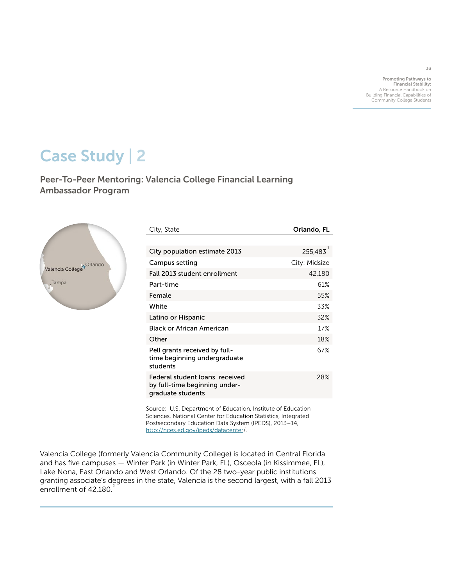Promoting Pathways to Financial Stability: A Resource Handbook on Building Financial Capabilities of Community College Students

33

# Case Study | 2

Peer-To-Peer Mentoring: Valencia College Financial Learning Ambassador Program



| City, State                                                                          | Orlando, FL   |
|--------------------------------------------------------------------------------------|---------------|
|                                                                                      |               |
| City population estimate 2013                                                        | 255,483       |
| Campus setting                                                                       | City: Midsize |
| Fall 2013 student enrollment                                                         | 42,180        |
| Part-time                                                                            | 61%           |
| Female                                                                               | 55%           |
| White                                                                                | 33%           |
| Latino or Hispanic                                                                   | 32%           |
| <b>Black or African American</b>                                                     | 17%           |
| Other                                                                                | 18%           |
| Pell grants received by full-<br>time beginning undergraduate<br>students            | 67%           |
| Federal student loans received<br>by full-time beginning under-<br>graduate students | 28%           |

Source: U.S. Department of Education, Institute of Education Sciences, National Center for Education Statistics, Integrated Postsecondary Education Data System (IPEDS), 2013–14, <http://nces.ed.gov/ipeds/datacenter>/.

Valencia College (formerly Valencia Community College) is located in Central Florida and has five campuses — Winter Park (in Winter Park, FL), Osceola (in Kissimmee, FL), Lake Nona, East Orlando and West Orlando. Of the 28 two-year public institutions granting associate's degrees in the state, Valencia is the second largest, with a fall 2013 enrollment of  $42,180.<sup>2</sup>$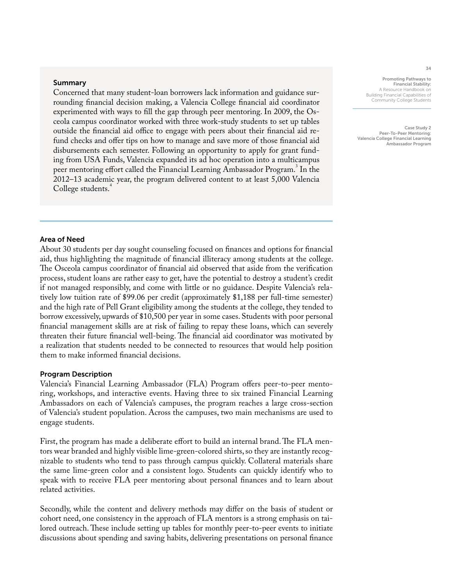#### Summary

Concerned that many student-loan borrowers lack information and guidance surrounding financial decision making, a Valencia College financial aid coordinator experimented with ways to fill the gap through peer mentoring. In 2009, the Osceola campus coordinator worked with three work-study students to set up tables outside the financial aid office to engage with peers about their financial aid refund checks and offer tips on how to manage and save more of those financial aid disbursements each semester. Following an opportunity to apply for grant funding from USA Funds, Valencia expanded its ad hoc operation into a multicampus peer mentoring effort called the Financial Learning Ambassador Program.<sup>3</sup> In the 2012–13 academic year, the program delivered content to at least 5,000 Valencia College students.<sup>4</sup>

#### Promoting Pathways to Financial Stability: A Resource Handbook on Building Financial Capabilities of Community College Students

Case Study 2 Peer-To-Peer Mentoring: Valencia College Financial Learning Ambassador Program

#### Area of Need

About 30 students per day sought counseling focused on finances and options for financial aid, thus highlighting the magnitude of financial illiteracy among students at the college. The Osceola campus coordinator of financial aid observed that aside from the verification process, student loans are rather easy to get, have the potential to destroy a student's credit if not managed responsibly, and come with little or no guidance. Despite Valencia's relatively low tuition rate of \$99.06 per credit (approximately \$1,188 per full-time semester) and the high rate of Pell Grant eligibility among the students at the college, they tended to borrow excessively, upwards of \$10,500 per year in some cases. Students with poor personal financial management skills are at risk of failing to repay these loans, which can severely threaten their future financial well-being. The financial aid coordinator was motivated by a realization that students needed to be connected to resources that would help position them to make informed financial decisions.

#### Program Description

Valencia's Financial Learning Ambassador (FLA) Program offers peer-to-peer mentoring, workshops, and interactive events. Having three to six trained Financial Learning Ambassadors on each of Valencia's campuses, the program reaches a large cross-section of Valencia's student population. Across the campuses, two main mechanisms are used to engage students.

First, the program has made a deliberate effort to build an internal brand. The FLA mentors wear branded and highly visible lime-green-colored shirts, so they are instantly recognizable to students who tend to pass through campus quickly. Collateral materials share the same lime-green color and a consistent logo. Students can quickly identify who to speak with to receive FLA peer mentoring about personal finances and to learn about related activities.

Secondly, while the content and delivery methods may differ on the basis of student or cohort need, one consistency in the approach of FLA mentors is a strong emphasis on tailored outreach. These include setting up tables for monthly peer-to-peer events to initiate discussions about spending and saving habits, delivering presentations on personal finance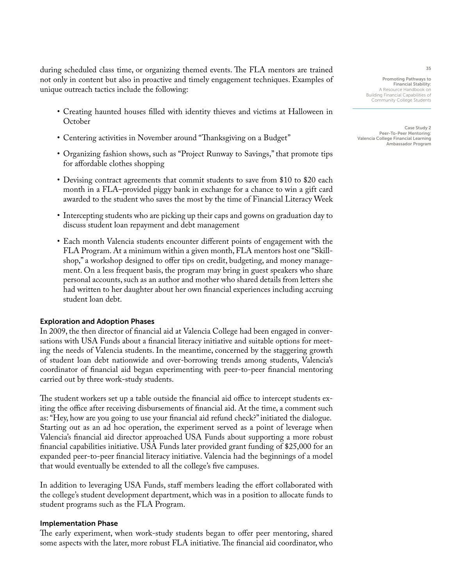during scheduled class time, or organizing themed events. The FLA mentors are trained not only in content but also in proactive and timely engagement techniques. Examples of unique outreach tactics include the following:

- Creating haunted houses filled with identity thieves and victims at Halloween in **October**
- Centering activities in November around "Thanksgiving on a Budget"
- Organizing fashion shows, such as "Project Runway to Savings," that promote tips for affordable clothes shopping
- Devising contract agreements that commit students to save from \$10 to \$20 each month in a FLA–provided piggy bank in exchange for a chance to win a gift card awarded to the student who saves the most by the time of Financial Literacy Week
- Intercepting students who are picking up their caps and gowns on graduation day to discuss student loan repayment and debt management
- Each month Valencia students encounter different points of engagement with the FLA Program. At a minimum within a given month, FLA mentors host one "Skillshop," a workshop designed to offer tips on credit, budgeting, and money management. On a less frequent basis, the program may bring in guest speakers who share personal accounts, such as an author and mother who shared details from letters she had written to her daughter about her own financial experiences including accruing student loan debt.

#### Exploration and Adoption Phases

In 2009, the then director of financial aid at Valencia College had been engaged in conversations with USA Funds about a financial literacy initiative and suitable options for meeting the needs of Valencia students. In the meantime, concerned by the staggering growth of student loan debt nationwide and over-borrowing trends among students, Valencia's coordinator of financial aid began experimenting with peer-to-peer financial mentoring carried out by three work-study students.

The student workers set up a table outside the financial aid office to intercept students exiting the office after receiving disbursements of financial aid. At the time, a comment such as: "Hey, how are you going to use your financial aid refund check?" initiated the dialogue. Starting out as an ad hoc operation, the experiment served as a point of leverage when Valencia's financial aid director approached USA Funds about supporting a more robust financial capabilities initiative. USA Funds later provided grant funding of \$25,000 for an expanded peer-to-peer financial literacy initiative. Valencia had the beginnings of a model that would eventually be extended to all the college's five campuses.

In addition to leveraging USA Funds, staff members leading the effort collaborated with the college's student development department, which was in a position to allocate funds to student programs such as the FLA Program.

#### Implementation Phase

The early experiment, when work-study students began to offer peer mentoring, shared some aspects with the later, more robust FLA initiative. The financial aid coordinator, who

Promoting Pathways to Financial Stability: A Resource Handbook or Building Financial Capabilities of Community College Students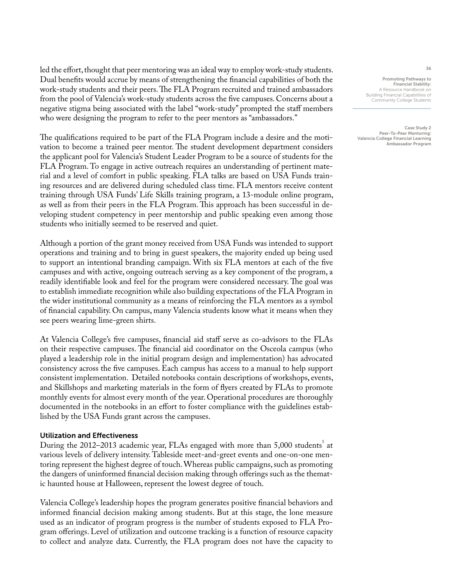led the effort, thought that peer mentoring was an ideal way to employ work-study students. Dual benefits would accrue by means of strengthening the financial capabilities of both the work-study students and their peers. The FLA Program recruited and trained ambassadors from the pool of Valencia's work-study students across the five campuses. Concerns about a negative stigma being associated with the label "work-study" prompted the staff members who were designing the program to refer to the peer mentors as "ambassadors."

The qualifications required to be part of the FLA Program include a desire and the motivation to become a trained peer mentor. The student development department considers the applicant pool for Valencia's Student Leader Program to be a source of students for the FLA Program. To engage in active outreach requires an understanding of pertinent material and a level of comfort in public speaking. FLA talks are based on USA Funds training resources and are delivered during scheduled class time. FLA mentors receive content training through USA Funds' Life Skills training program, a 13-module online program, as well as from their peers in the FLA Program. This approach has been successful in developing student competency in peer mentorship and public speaking even among those students who initially seemed to be reserved and quiet.

Although a portion of the grant money received from USA Funds was intended to support operations and training and to bring in guest speakers, the majority ended up being used to support an intentional branding campaign. With six FLA mentors at each of the five campuses and with active, ongoing outreach serving as a key component of the program, a readily identifiable look and feel for the program were considered necessary. The goal was to establish immediate recognition while also building expectations of the FLA Program in the wider institutional community as a means of reinforcing the FLA mentors as a symbol of financial capability. On campus, many Valencia students know what it means when they see peers wearing lime-green shirts.

At Valencia College's five campuses, financial aid staff serve as co-advisors to the FLAs on their respective campuses. The financial aid coordinator on the Osceola campus (who played a leadership role in the initial program design and implementation) has advocated consistency across the five campuses. Each campus has access to a manual to help support consistent implementation. Detailed notebooks contain descriptions of workshops, events, and Skillshops and marketing materials in the form of flyers created by FLAs to promote monthly events for almost every month of the year. Operational procedures are thoroughly documented in the notebooks in an effort to foster compliance with the guidelines established by the USA Funds grant across the campuses.

#### Utilization and Effectiveness

During the 2012–2013 academic year, FLAs engaged with more than 5,000 students $^{\rm 5}$  at various levels of delivery intensity. Tableside meet-and-greet events and one-on-one mentoring represent the highest degree of touch. Whereas public campaigns, such as promoting the dangers of uninformed financial decision making through offerings such as the thematic haunted house at Halloween, represent the lowest degree of touch.

Valencia College's leadership hopes the program generates positive financial behaviors and informed financial decision making among students. But at this stage, the lone measure used as an indicator of program progress is the number of students exposed to FLA Program offerings. Level of utilization and outcome tracking is a function of resource capacity to collect and analyze data. Currently, the FLA program does not have the capacity to

Promoting Pathways to Financial Stability: A Resource Handbook on Building Financial Capabilities of Community College Students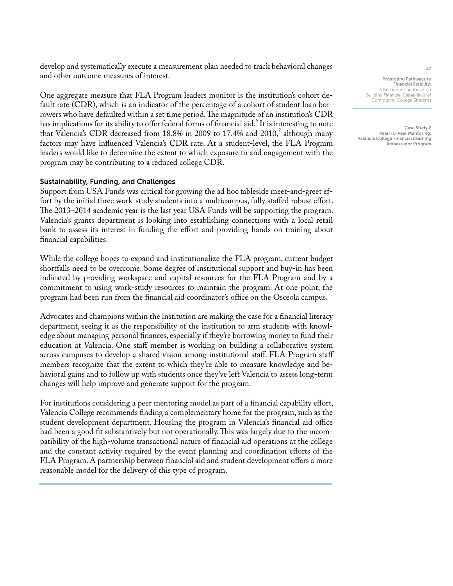develop and systematically execute a measurement plan needed to track behavioral changes and other outcome measures of interest.

One aggregate measure that FLA Program leaders monitor is the institution's cohort default rate (CDR), which is an indicator of the percentage of a cohort of student loan borrowers who have defaulted within a set time period. The magnitude of an institution's CDR has implications for its ability to offer federal forms of financial aid.  $^6$  It is interesting to note that Valencia's CDR decreased from 18.8% in 2009 to 17.4% and 2010,<sup>7</sup> although many factors may have influenced Valencia's CDR rate. At a student-level, the FLA Program leaders would like to determine the extent to which exposure to and engagement with the program may be contributing to a reduced college CDR.

## Sustainability, Funding, and Challenges

Support from USA Funds was critical for growing the ad hoc tableside meet-and-greet effort by the initial three work-study students into a multicampus, fully staffed robust effort. The 2013–2014 academic year is the last year USA Funds will be supporting the program. Valencia's grants department is looking into establishing connections with a local retail bank to assess its interest in funding the effort and providing hands-on training about financial capabilities.

While the college hopes to expand and institutionalize the FLA program, current budget shortfalls need to be overcome. Some degree of institutional support and buy-in has been indicated by providing workspace and capital resources for the FLA Program and by a commitment to using work-study resources to maintain the program. At one point, the program had been run from the financial aid coordinator's office on the Osceola campus.

Advocates and champions within the institution are making the case for a financial literacy department, seeing it as the responsibility of the institution to arm students with knowledge about managing personal finances, especially if they're borrowing money to fund their education at Valencia. One staff member is working on building a collaborative system across campuses to develop a shared vision among institutional staff. FLA Program staff members recognize that the extent to which they're able to measure knowledge and behavioral gains and to follow up with students once they've left Valencia to assess long-term changes will help improve and generate support for the program.

For institutions considering a peer mentoring model as part of a financial capability effort, Valencia College recommends finding a complementary home for the program, such as the student development department. Housing the program in Valencia's financial aid office had been a good fit substantively but not operationally. This was largely due to the incompatibility of the high-volume transactional nature of financial aid operations at the college and the constant activity required by the event planning and coordination efforts of the FLA Program. A partnership between financial aid and student development offers a more reasonable model for the delivery of this type of program.

Promoting Pathways to Financial Stability: A Resource Handbook on Building Financial Capabilities of Community College Students